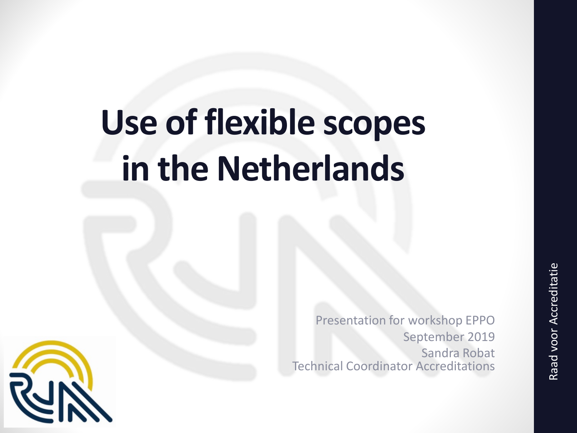# **Use of flexible scopes in the Netherlands**

Presentation for workshop EPPO September 2019 Sandra Robat Technical Coordinator Accreditations

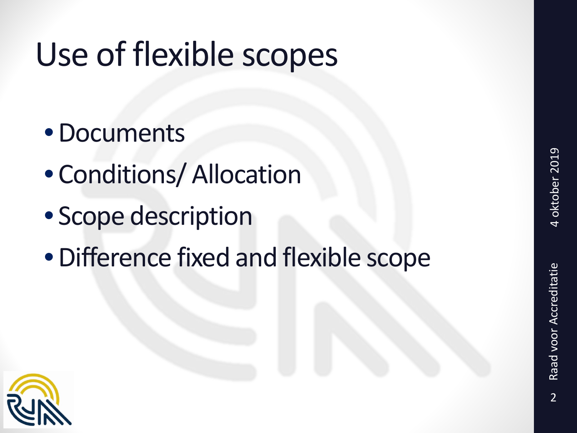## Use of flexible scopes

- •Documents
- Conditions/ Allocation
- Scope description
- •Difference fixed and flexible scope

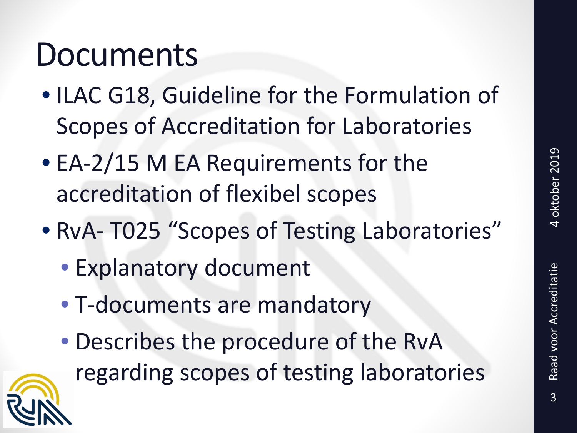#### Documents

- ILAC G18, Guideline for the Formulation of Scopes of Accreditation for Laboratories
- EA-2/15 M EA Requirements for the accreditation of flexibel scopes
- RvA- T025 "Scopes of Testing Laboratories"
	- Explanatory document
	- T-documents are mandatory
	- Describes the procedure of the RvA regarding scopes of testing laboratories

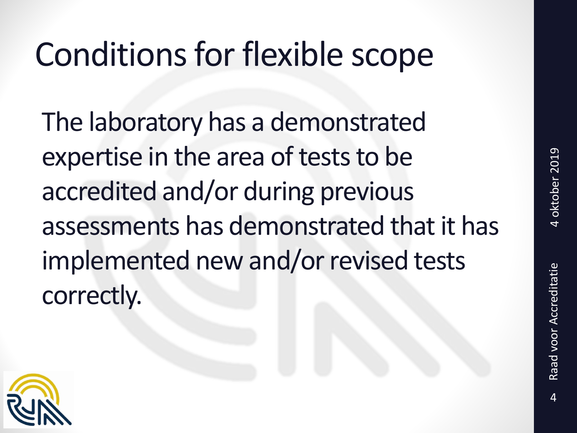### Conditions for flexible scope

The laboratory has a demonstrated expertise in the area of tests to be accredited and/or during previous assessments has demonstrated that it has implemented new and/or revised tests correctly.

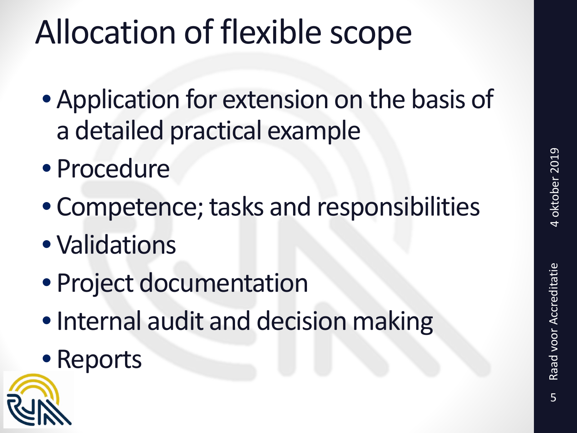### Allocation of flexible scope

- Application for extension on the basis of a detailed practical example
- Procedure
- Competence; tasks and responsibilities
- Validations
- Project documentation
- Internal audit and decision making
- Reports

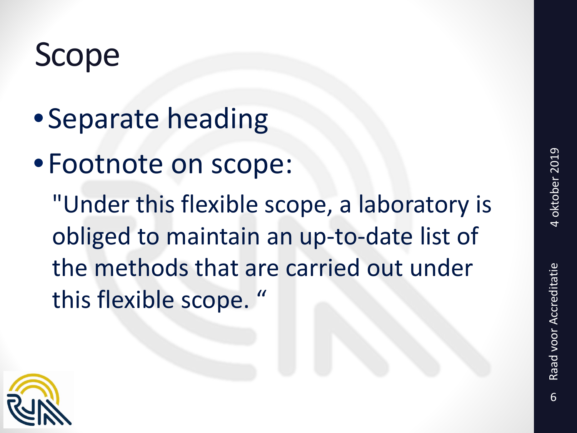### Scope

- •Separate heading
- •Footnote on scope:

"Under this flexible scope, a laboratory is obliged to maintain an up-to-date list of the methods that are carried out under this flexible scope. "

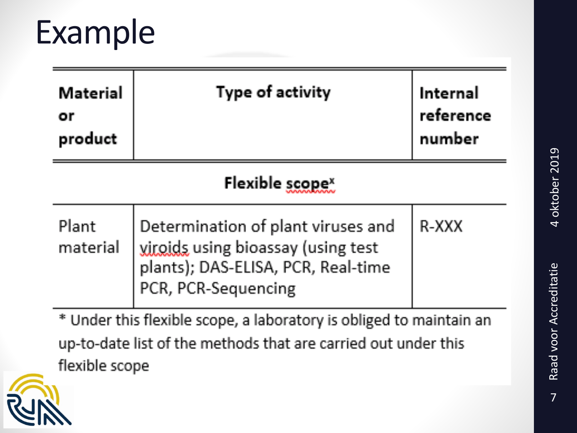#### Example

| Material<br>or<br>product                                           | Type of activity                                                                                                                      | Internal<br>reference<br>number |
|---------------------------------------------------------------------|---------------------------------------------------------------------------------------------------------------------------------------|---------------------------------|
| Flexible scope <sup>x</sup>                                         |                                                                                                                                       |                                 |
| Plant<br>material                                                   | Determination of plant viruses and<br>viroids using bioassay (using test<br>plants); DAS-ELISA, PCR, Real-time<br>PCR, PCR-Sequencing | R-XXX                           |
| * Under this flexible scope, a laboratory is obliged to maintain an |                                                                                                                                       |                                 |

up-to-date list of the methods that are carried out under this flexible scope

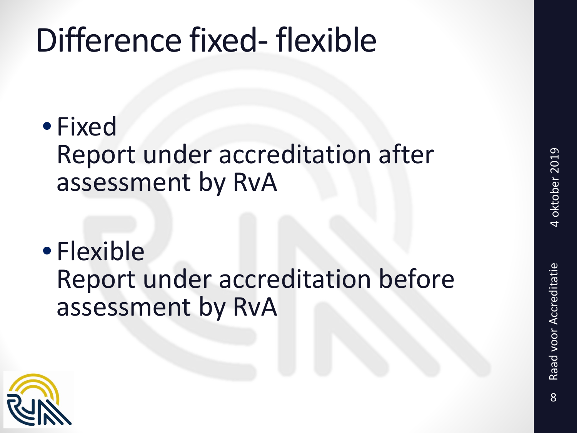### Difference fixed- flexible

- Fixed Report under accreditation after assessment by RvA
- Flexible Report under accreditation before assessment by RvA

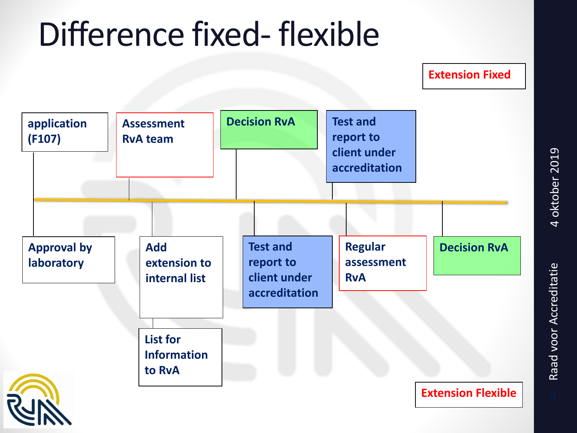#### Difference fixed- flexible

**Extension Fixed**

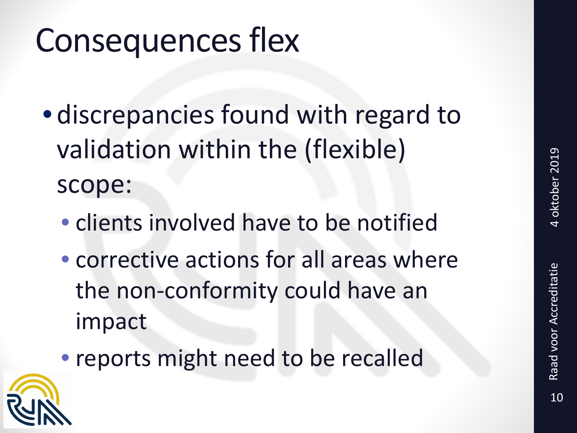#### Consequences flex

- discrepancies found with regard to validation within the (flexible) scope:
	- clients involved have to be notified
	- corrective actions for all areas where the non-conformity could have an impact
	- reports might need to be recalled

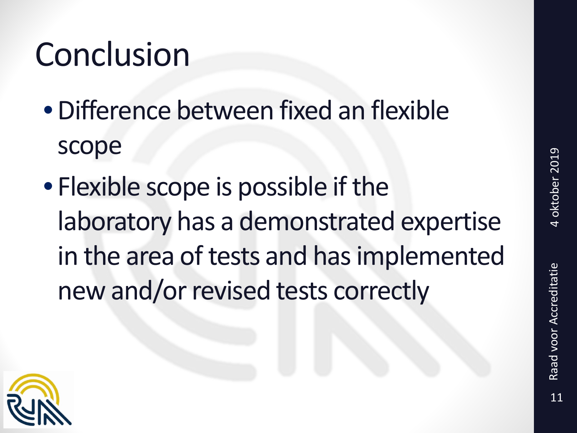### Conclusion

- •Difference between fixed an flexible scope
- Flexible scope is possible if the laboratory has a demonstrated expertise in the area of tests and has implemented new and/or revised tests correctly